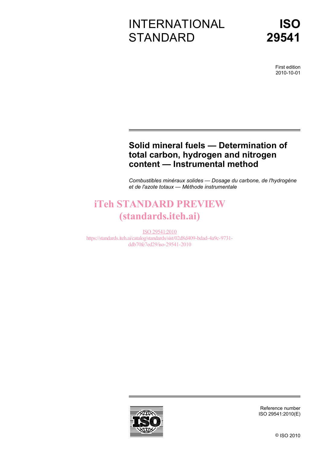# INTERNATIONAL **STANDARD**

First edition 2010-10-01

# **Solid mineral fuels — Determination of total carbon, hydrogen and nitrogen content — Instrumental method**

*Combustibles minéraux solides — Dosage du carbone, de l'hydrogène et de l'azote totaux — Méthode instrumentale* 

# iTeh STANDARD PREVIEW (standards.iteh.ai)

ISO 29541:2010 https://standards.iteh.ai/catalog/standards/sist/02d8d409-bdad-4a9c-9731 ddb70fe7ed29/iso-29541-2010



Reference number ISO 29541:2010(E)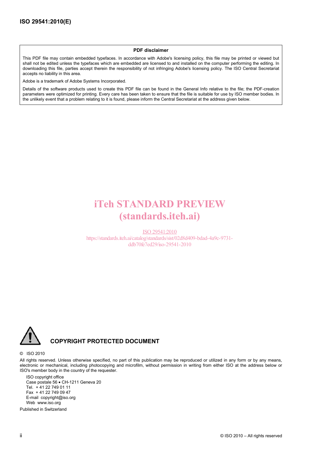#### **PDF disclaimer**

This PDF file may contain embedded typefaces. In accordance with Adobe's licensing policy, this file may be printed or viewed but shall not be edited unless the typefaces which are embedded are licensed to and installed on the computer performing the editing. In downloading this file, parties accept therein the responsibility of not infringing Adobe's licensing policy. The ISO Central Secretariat accepts no liability in this area.

Adobe is a trademark of Adobe Systems Incorporated.

Details of the software products used to create this PDF file can be found in the General Info relative to the file; the PDF-creation parameters were optimized for printing. Every care has been taken to ensure that the file is suitable for use by ISO member bodies. In the unlikely event that a problem relating to it is found, please inform the Central Secretariat at the address given below.

# iTeh STANDARD PREVIEW (standards.iteh.ai)

ISO 29541:2010 https://standards.iteh.ai/catalog/standards/sist/02d8d409-bdad-4a9c-9731 ddb70fe7ed29/iso-29541-2010



### **COPYRIGHT PROTECTED DOCUMENT**

#### © ISO 2010

All rights reserved. Unless otherwise specified, no part of this publication may be reproduced or utilized in any form or by any means, electronic or mechanical, including photocopying and microfilm, without permission in writing from either ISO at the address below or ISO's member body in the country of the requester.

ISO copyright office Case postale 56 • CH-1211 Geneva 20 Tel. + 41 22 749 01 11 Fax + 41 22 749 09 47 E-mail copyright@iso.org Web www.iso.org

Published in Switzerland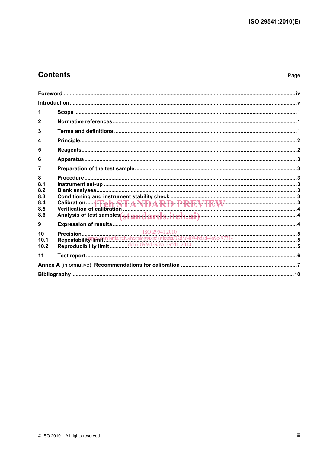# **Contents**

| 1                                           |                                             |  |
|---------------------------------------------|---------------------------------------------|--|
| $\mathbf{2}$                                |                                             |  |
| 3                                           |                                             |  |
| 4                                           |                                             |  |
| 5                                           |                                             |  |
| 6                                           |                                             |  |
| 7                                           |                                             |  |
| 8<br>8.1<br>8.2<br>8.3<br>8.4<br>8.5<br>8.6 | Analysis of test samples standards.itch.ai) |  |
| 9                                           |                                             |  |
| 10<br>10.1<br>10.2                          |                                             |  |
| 11                                          |                                             |  |
|                                             |                                             |  |
|                                             |                                             |  |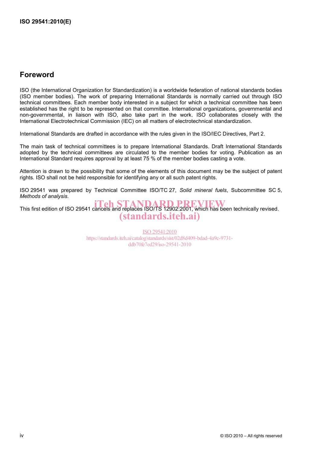# **Foreword**

ISO (the International Organization for Standardization) is a worldwide federation of national standards bodies (ISO member bodies). The work of preparing International Standards is normally carried out through ISO technical committees. Each member body interested in a subject for which a technical committee has been established has the right to be represented on that committee. International organizations, governmental and non-governmental, in liaison with ISO, also take part in the work. ISO collaborates closely with the International Electrotechnical Commission (IEC) on all matters of electrotechnical standardization.

International Standards are drafted in accordance with the rules given in the ISO/IEC Directives, Part 2.

The main task of technical committees is to prepare International Standards. Draft International Standards adopted by the technical committees are circulated to the member bodies for voting. Publication as an International Standard requires approval by at least 75 % of the member bodies casting a vote.

Attention is drawn to the possibility that some of the elements of this document may be the subject of patent rights. ISO shall not be held responsible for identifying any or all such patent rights.

ISO 29541 was prepared by Technical Committee ISO/TC 27, *Solid mineral fuels*, Subcommittee SC 5, *Methods of analysis*.

THIS first edition of ISO 29541 cancels and replaces ISO/TS 12902:2001, which has been technically revised. (standards.iteh.ai)

> ISO 29541:2010 https://standards.iteh.ai/catalog/standards/sist/02d8d409-bdad-4a9c-9731 ddb70fe7ed29/iso-29541-2010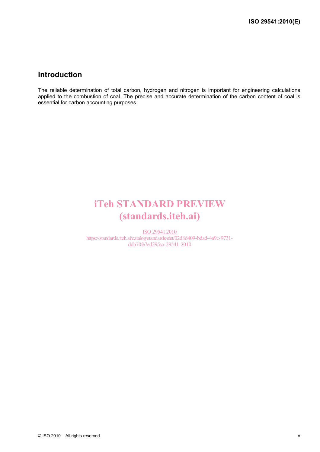# **Introduction**

The reliable determination of total carbon, hydrogen and nitrogen is important for engineering calculations applied to the combustion of coal. The precise and accurate determination of the carbon content of coal is essential for carbon accounting purposes.

# iTeh STANDARD PREVIEW (standards.iteh.ai)

ISO 29541:2010 https://standards.iteh.ai/catalog/standards/sist/02d8d409-bdad-4a9c-9731 ddb70fe7ed29/iso-29541-2010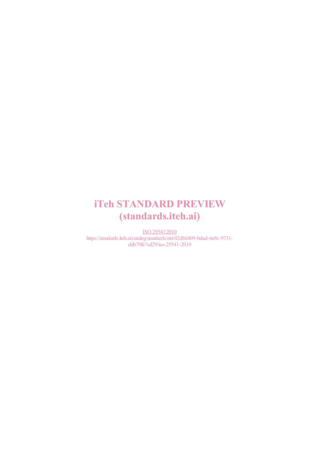# iTeh STANDARD PREVIEW (standards.iteh.ai)

ISO 29541:2010 https://standards.iteh.ai/catalog/standards/sist/02d8d409-bdad-4a9c-9731 ddb70fe7ed29/iso-29541-2010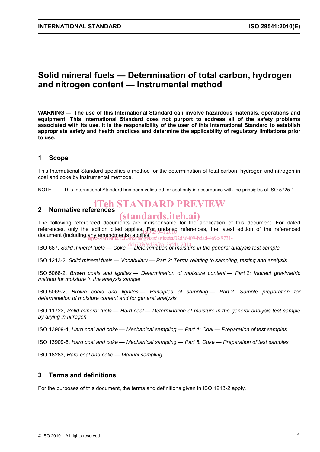# **Solid mineral fuels — Determination of total carbon, hydrogen and nitrogen content — Instrumental method**

**WARNING — The use of this International Standard can involve hazardous materials, operations and equipment. This International Standard does not purport to address all of the safety problems associated with its use. It is the responsibility of the user of this International Standard to establish appropriate safety and health practices and determine the applicability of regulatory limitations prior to use.** 

### **1 Scope**

This International Standard specifies a method for the determination of total carbon, hydrogen and nitrogen in coal and coke by instrumental methods.

NOTE This International Standard has been validated for coal only in accordance with the principles of ISO 5725-1.

# iTeh STANDARD PREVIEW

#### **2 Normative references**  (standards.iteh.ai)

The following referenced documents are indispensable for the application of this document. For dated references, only the edition cited applies. For undated references, the latest edition of the referenced references, only the edition cited applies.<br>document (including any amendments) applies....darket/sixt/ https://standards.iteh.ai/catalog/standards/sist/02d8d409-bdad-4a9c-9731-

ISO 687, *Solid mineral fuels — Coke — Determination of moisture in the general analysis test sample* ddb70fe7ed29/iso-29541-2010

ISO 1213-2, *Solid mineral fuels — Vocabulary — Part 2: Terms relating to sampling, testing and analysis*

ISO 5068-2, *Brown coals and lignites — Determination of moisture content — Part 2: Indirect gravimetric method for moisture in the analysis sample* 

ISO 5069-2, *Brown coals and lignites — Principles of sampling — Part 2: Sample preparation for determination of moisture content and for general analysis*

ISO 11722, *Solid mineral fuels — Hard coal — Determination of moisture in the general analysis test sample by drying in nitrogen*

ISO 13909-4, *Hard coal and coke — Mechanical sampling — Part 4: Coal — Preparation of test samples*

ISO 13909-6, *Hard coal and coke — Mechanical sampling — Part 6: Coke — Preparation of test samples*

ISO 18283, *Hard coal and coke — Manual sampling* 

### **3 Terms and definitions**

For the purposes of this document, the terms and definitions given in ISO 1213-2 apply.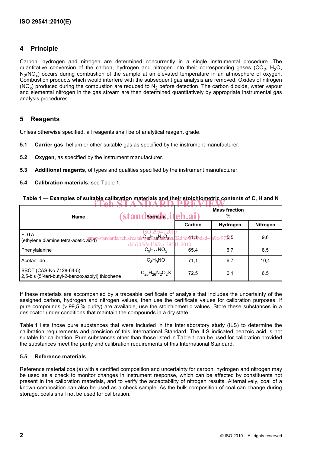### **4 Principle**

Carbon, hydrogen and nitrogen are determined concurrently in a single instrumental procedure. The quantitative conversion of the carbon, hydrogen and nitrogen into their corresponding gases ( $CO<sub>2</sub>$ , H<sub>2</sub>O, N<sub>2</sub>/NO<sub>x</sub>) occurs during combustion of the sample at an elevated temperature in an atmosphere of oxygen. Combustion products which would interfere with the subsequent gas analysis are removed. Oxides of nitrogen (NO<sub>x</sub>) produced during the combustion are reduced to N<sub>2</sub> before detection. The carbon dioxide, water vapour and elemental nitrogen in the gas stream are then determined quantitatively by appropriate instrumental gas analysis procedures.

### **5 Reagents**

Unless otherwise specified, all reagents shall be of analytical reagent grade.

- **5.1 Carrier gas**, helium or other suitable gas as specified by the instrument manufacturer.
- **5.2 Oxygen**, as specified by the instrument manufacturer.
- **5.3 Additional reagents**, of types and qualities specified by the instrument manufacturer.
- **5.4 Calibration materials**: see Table 1.

| Table 1 — Examples of suitable calibration materials and their stoichiometric contents of C. H and N |  |                       |  |  |  |  |  |  |  |  |  |  |
|------------------------------------------------------------------------------------------------------|--|-----------------------|--|--|--|--|--|--|--|--|--|--|
|                                                                                                      |  | ETAK CTANDADD DDEVIEW |  |  |  |  |  |  |  |  |  |  |

| <b>sta</b><br><b>Name</b>                                                      | <b>Lands.iteh.ai</b> ) |                      | <b>Mass fraction</b><br>% |                 |  |
|--------------------------------------------------------------------------------|------------------------|----------------------|---------------------------|-----------------|--|
|                                                                                |                        | Carbon               | Hydrogen                  | <b>Nitrogen</b> |  |
| <b>EDTA</b><br>/standards.iteh.ai/cata<br>(ethylene diamine tetra-acetic acid) | log/stat16ard9sis      | 14091bdad-4a9c-97515 |                           | 9,6             |  |
| uu<br>Phenylalanine                                                            | $C_9H_{11}NO_2$        | 65,4                 | 6,7                       | 8,5             |  |
| Acetanilide                                                                    | $C_8H_9NO$             | 71.1                 | 6,7                       | 10,4            |  |
| BBOT (CAS-No 7128-64-5)<br>2,5-bis (5'-tert-butyl-2-benzoxazolyl) thiophene    | $C_{26}H_{26}N_2O_2S$  | 72,5                 | 6,1                       | 6,5             |  |

If these materials are accompanied by a traceable certificate of analysis that includes the uncertainty of the assigned carbon, hydrogen and nitrogen values, then use the certificate values for calibration purposes. If pure compounds (> 99,5 % purity) are available, use the stoichiometric values. Store these substances in a desiccator under conditions that maintain the compounds in a dry state.

Table 1 lists those pure substances that were included in the interlaboratory study (ILS) to determine the calibration requirements and precision of this International Standard. The ILS indicated benzoic acid is not suitable for calibration. Pure substances other than those listed in Table 1 can be used for calibration provided the substances meet the purity and calibration requirements of this International Standard.

#### **5.5 Reference materials**.

Reference material coal(s) with a certified composition and uncertainty for carbon, hydrogen and nitrogen may be used as a check to monitor changes in instrument response, which can be affected by constituents not present in the calibration materials, and to verify the acceptability of nitrogen results. Alternatively, coal of a known composition can also be used as a check sample. As the bulk composition of coal can change during storage, coals shall not be used for calibration.